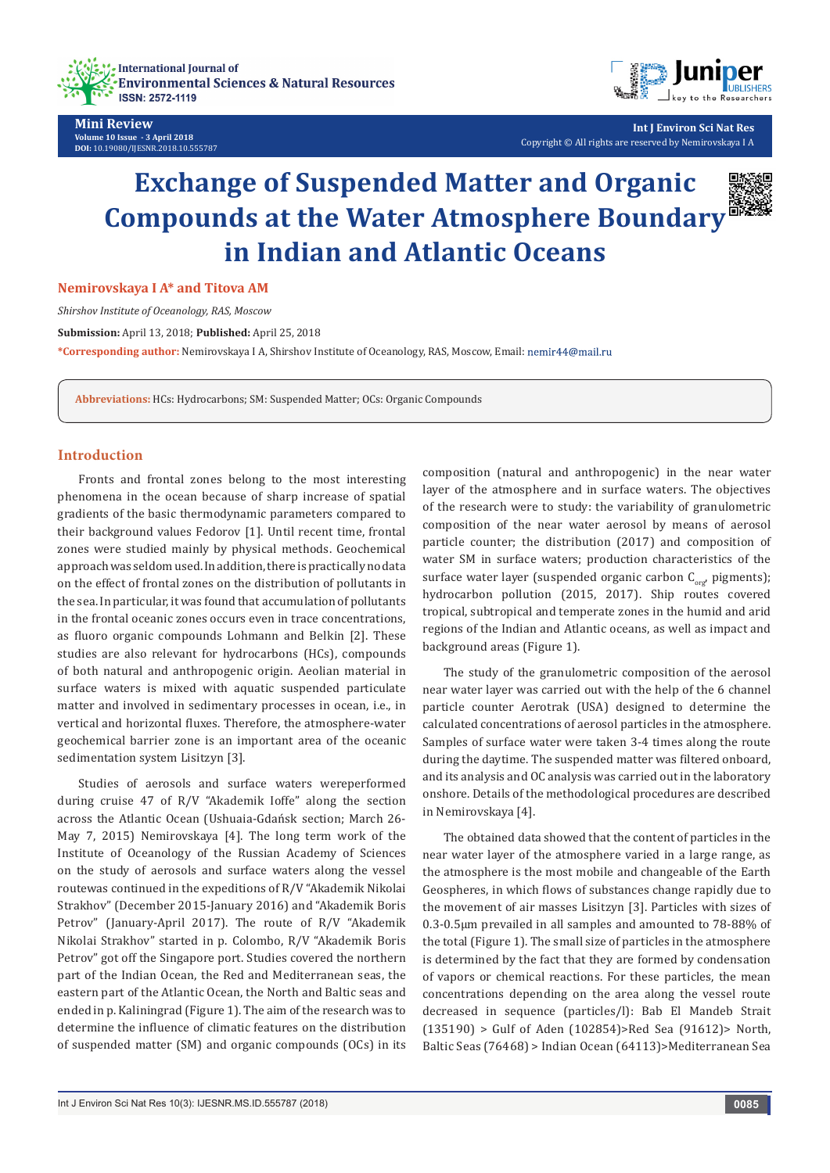



**Int J Environ Sci Nat Res** Copyright © All rights are reserved by Nemirovskaya I A

# **Exchange of Suspended Matter and Organic Compounds at the Water Atmosphere Boundary in Indian and Atlantic Oceans**

**Nemirovskaya I A\* and Titova AM**

*Shirshov Institute of Oceanology, RAS, Moscow*

**Submission:** April 13, 2018; **Published:** April 25, 2018

**\*Corresponding author:** Nemirovskaya I A, Shirshov Institute of Oceanology, RAS, Moscow, Email:

**Abbreviations:** HCs: Hydrocarbons; SM: Suspended Matter; OCs: Organic Compounds

## **Introduction**

Fronts and frontal zones belong to the most interesting phenomena in the ocean because of sharp increase of spatial gradients of the basic thermodynamic parameters compared to their background values Fedorov [1]. Until recent time, frontal zones were studied mainly by physical methods. Geochemical approach was seldom used. In addition, there is practically no data on the effect of frontal zones on the distribution of pollutants in the sea. In particular, it was found that accumulation of pollutants in the frontal oceanic zones occurs even in trace concentrations, as fluoro organic compounds Lohmann and Belkin [2]. These studies are also relevant for hydrocarbons (HCs), compounds of both natural and anthropogenic origin. Aeolian material in surface waters is mixed with aquatic suspended particulate matter and involved in sedimentary processes in ocean, i.e., in vertical and horizontal fluxes. Therefore, the atmosphere-water geochemical barrier zone is an important area of the oceanic sedimentation system Lisitzyn [3].

Studies of aerosols and surface waters wereperformed during cruise 47 of R/V "Akademik Ioffe" along the section across the Atlantic Ocean (Ushuaia-Gdańsk section; March 26- May 7, 2015) Nemirovskaya [4]. The long term work of the Institute of Oceanology of the Russian Academy of Sciences on the study of aerosols and surface waters along the vessel routewas continued in the expeditions of R/V "Akademik Nikolai Strakhov" (December 2015-January 2016) and "Akademik Boris Petrov" (January-April 2017). The route of R/V "Akademik Nikolai Strakhov" started in p. Colombo, R/V "Akademik Boris Petrov" got off the Singapore port. Studies covered the northern part of the Indian Ocean, the Red and Mediterranean seas, the eastern part of the Atlantic Ocean, the North and Baltic seas and ended in p. Kaliningrad (Figure 1). The aim of the research was to determine the influence of climatic features on the distribution of suspended matter (SM) and organic compounds (OCs) in its

composition (natural and anthropogenic) in the near water layer of the atmosphere and in surface waters. The objectives of the research were to study: the variability of granulometric composition of the near water aerosol by means of aerosol particle counter; the distribution (2017) and composition of water SM in surface waters; production characteristics of the surface water layer (suspended organic carbon  $C_{\text{corr}}$ , pigments); hydrocarbon pollution (2015, 2017). Ship routes covered tropical, subtropical and temperate zones in the humid and arid regions of the Indian and Atlantic oceans, as well as impact and background areas (Figure 1).

The study of the granulometric composition of the aerosol near water layer was carried out with the help of the 6 channel particle counter Aerotrak (USA) designed to determine the calculated concentrations of aerosol particles in the atmosphere. Samples of surface water were taken 3-4 times along the route during the daytime. The suspended matter was filtered onboard, and its analysis and OC analysis was carried out in the laboratory onshore. Details of the methodological procedures are described in Nemirovskaya [4].

The obtained data showed that the content of particles in the near water layer of the atmosphere varied in a large range, as the atmosphere is the most mobile and changeable of the Earth Geospheres, in which flows of substances change rapidly due to the movement of air masses Lisitzyn [3]. Particles with sizes of 0.3-0.5µm prevailed in all samples and amounted to 78-88% of the total (Figure 1). The small size of particles in the atmosphere is determined by the fact that they are formed by condensation of vapors or chemical reactions. For these particles, the mean concentrations depending on the area along the vessel route decreased in sequence (particles/l): Bab El Mandeb Strait (135190) > Gulf of Aden (102854)>Red Sea (91612)> North, Baltic Seas (76468) > Indian Ocean (64113)>Mediterranean Sea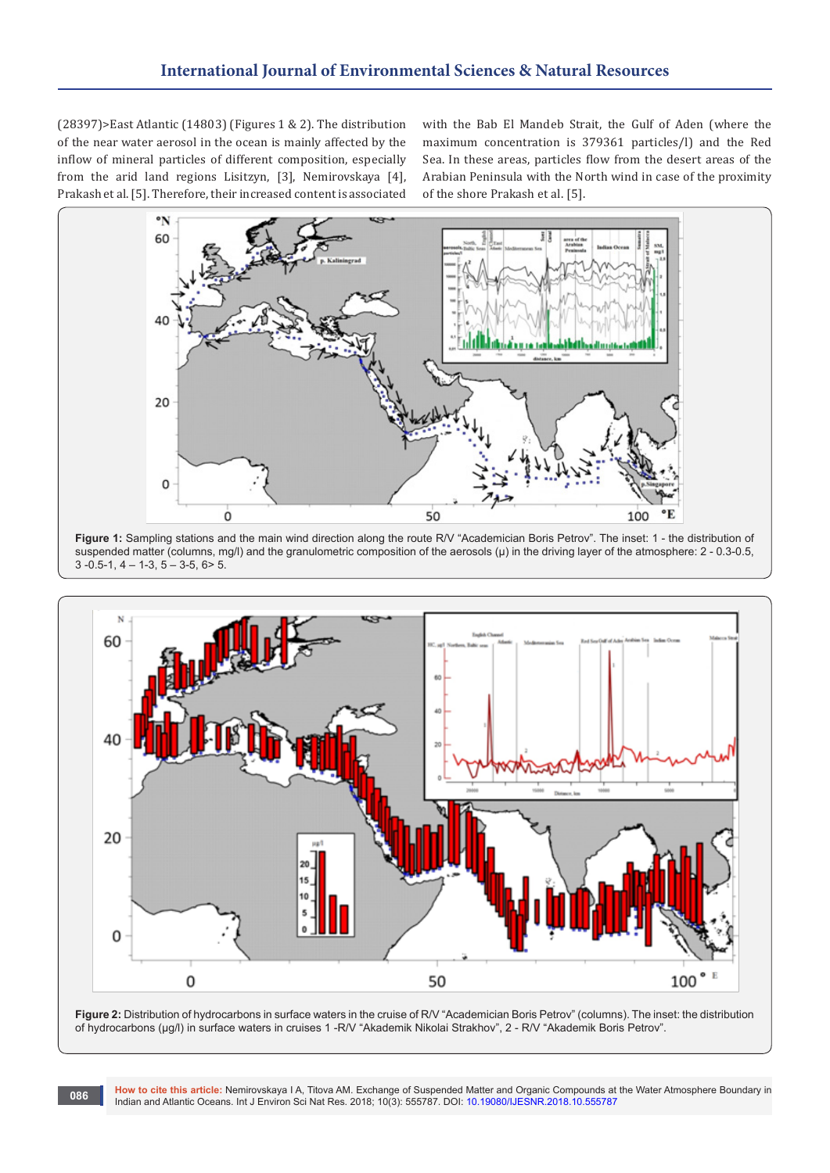(28397)>East Atlantic (14803) (Figures 1 & 2). The distribution of the near water aerosol in the ocean is mainly affected by the inflow of mineral particles of different composition, especially from the arid land regions Lisitzyn, [3], Nemirovskaya [4], Prakash et al. [5]. Therefore, their increased content is associated

with the Bab El Mandeb Strait, the Gulf of Aden (where the maximum concentration is 379361 particles/l) and the Red Sea. In these areas, particles flow from the desert areas of the Arabian Peninsula with the North wind in case of the proximity of the shore Prakash et al. [5].



Figure 1: Sampling stations and the main wind direction along the route R/V "Academician Boris Petrov". The inset: 1 - the distribution of suspended matter (columns, mg/l) and the granulometric composition of the aerosols (μ) in the driving layer of the atmosphere: 2 - 0.3-0.5,  $3 - 0.5 - 1$ ,  $4 - 1 - 3$ ,  $5 - 3 - 5$ ,  $6 > 5$ .





**How to cite this article:** Nemirovskaya I A, Titova AM. Exchange of Suspended Matter and Organic Compounds at the Water Atmosphere Boundary in Indian and Atlantic Oceans. Int J Environ Sci Nat Res. 2018; 10(3): 555787. DOI: [10.19080/IJESNR.2018.10.555787](http://dx.doi.org/10.19080/IJESNR.2018.10.555787) **<sup>086</sup>**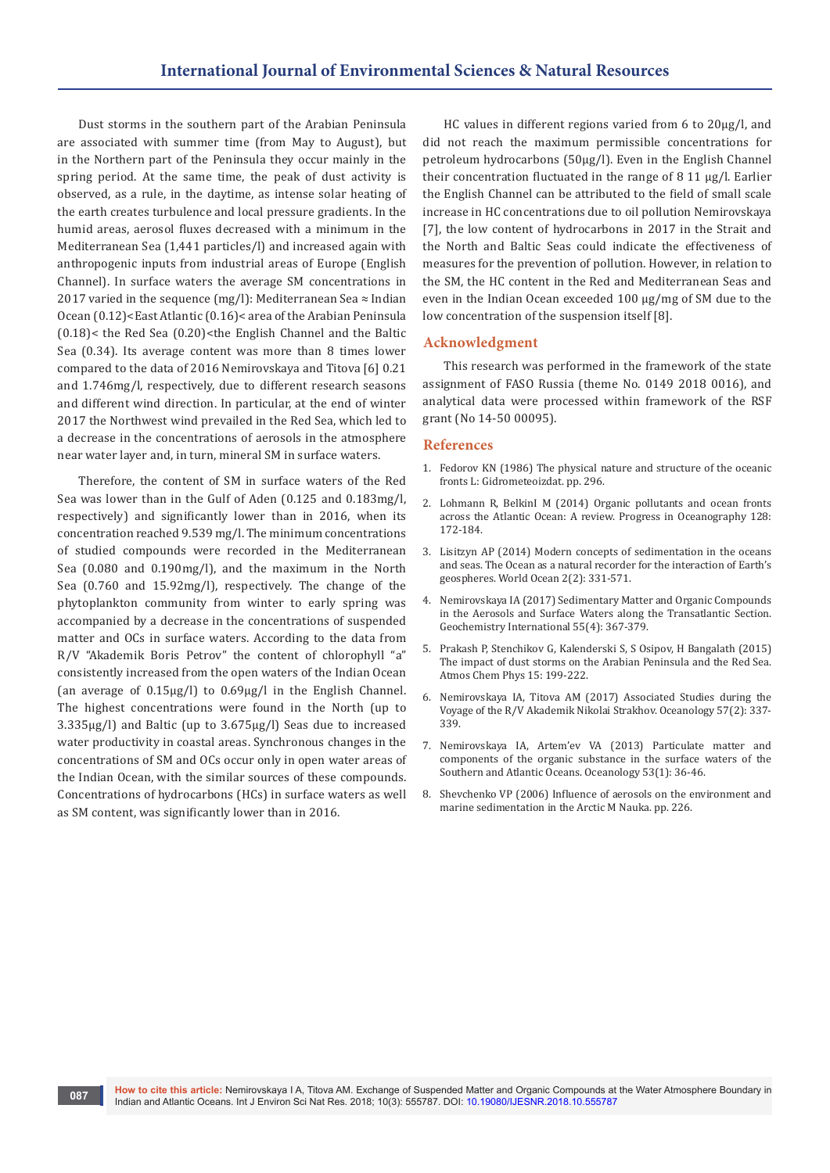Dust storms in the southern part of the Arabian Peninsula are associated with summer time (from May to August), but in the Northern part of the Peninsula they occur mainly in the spring period. At the same time, the peak of dust activity is observed, as a rule, in the daytime, as intense solar heating of the earth creates turbulence and local pressure gradients. In the humid areas, aerosol fluxes decreased with a minimum in the Mediterranean Sea (1,441 particles/l) and increased again with anthropogenic inputs from industrial areas of Europe (English Channel). In surface waters the average SM concentrations in 2017 varied in the sequence (mg/l): Mediterranean Sea  $\approx$  Indian Ocean (0.12)<East Atlantic (0.16)< area of the Arabian Peninsula  $(0.18)$  < the Red Sea  $(0.20)$  < the English Channel and the Baltic Sea (0.34). Its average content was more than 8 times lower compared to the data of 2016 Nemirovskaya and Titova [6] 0.21 and 1.746mg/l, respectively, due to different research seasons and different wind direction. In particular, at the end of winter 2017 the Northwest wind prevailed in the Red Sea, which led to a decrease in the concentrations of aerosols in the atmosphere near water layer and, in turn, mineral SM in surface waters.

Therefore, the content of SM in surface waters of the Red Sea was lower than in the Gulf of Aden (0.125 and 0.183mg/l, respectively) and significantly lower than in 2016, when its concentration reached 9.539 mg/l. The minimum concentrations of studied compounds were recorded in the Mediterranean Sea (0.080 and 0.190mg/l), and the maximum in the North Sea (0.760 and 15.92mg/l), respectively. The change of the phytoplankton community from winter to early spring was accompanied by a decrease in the concentrations of suspended matter and OCs in surface waters. According to the data from R/V "Akademik Boris Petrov" the content of chlorophyll "a" consistently increased from the open waters of the Indian Ocean (an average of 0.15µg/l) to 0.69µg/l in the English Channel. The highest concentrations were found in the North (up to 3.335µg/l) and Baltic (up to 3.675µg/l) Seas due to increased water productivity in coastal areas. Synchronous changes in the concentrations of SM and OCs occur only in open water areas of the Indian Ocean, with the similar sources of these compounds. Concentrations of hydrocarbons (HCs) in surface waters as well as SM content, was significantly lower than in 2016.

HC values in different regions varied from 6 to 20µg/l, and did not reach the maximum permissible concentrations for petroleum hydrocarbons (50µg/l). Even in the English Channel their concentration fluctuated in the range of 8 11 µg/l. Earlier the English Channel can be attributed to the field of small scale increase in HC concentrations due to oil pollution Nemirovskaya [7], the low content of hydrocarbons in 2017 in the Strait and the North and Baltic Seas could indicate the effectiveness of measures for the prevention of pollution. However, in relation to the SM, the HC content in the Red and Mediterranean Seas and even in the Indian Ocean exceeded 100 µg/mg of SM due to the low concentration of the suspension itself [8].

### **Acknowledgment**

This research was performed in the framework of the state assignment of FASO Russia (theme No. 0149 2018 0016), and analytical data were processed within framework of the RSF grant (No 14-50 00095).

#### **References**

- 1. [Fedorov KN \(1986\) The physical nature and structure of the oceanic](https://www.adlibris.com/fi/kirja/the-physical-nature-and-structure-of-oceanic-fronts-9780387964454)  fronts [L: Gidrometeoizdat](https://www.adlibris.com/fi/kirja/the-physical-nature-and-structure-of-oceanic-fronts-9780387964454). pp. 296.
- 2. [Lohmann R, BelkinI M \(2014\) Organic pollutants and ocean fronts](https://www.sciencedirect.com/science/article/pii/S007966111400144X)  [across the Atlantic Ocean: A review. Progress in Oceanography 128:](https://www.sciencedirect.com/science/article/pii/S007966111400144X)  [172-184.](https://www.sciencedirect.com/science/article/pii/S007966111400144X)
- 3. Lisitzyn AP (2014) Modern concepts of sedimentation in the oceans and seas. The Ocean as a natural recorder for the interaction of Earth's geospheres. World Ocean 2(2): 331-571.
- 4. [Nemirovskaya IA \(2017\) Sedimentary Matter and Organic Compounds](https://link.springer.com/article/10.1134/S001670291704005X)  [in the Aerosols and Surface Waters along the Transatlantic Section.](https://link.springer.com/article/10.1134/S001670291704005X)  [Geochemistry International 55\(4\): 367-379.](https://link.springer.com/article/10.1134/S001670291704005X)
- 5. [Prakash P, Stenchikov G, Kalenderski S, S Osipov, H Bangalath \(2015\)](https://www.atmos-chem-phys.net/15/199/2015/)  [The impact of dust storms on the Arabian Peninsula and the Red Sea.](https://www.atmos-chem-phys.net/15/199/2015/)  [Atmos Chem Phys 15: 199-222.](https://www.atmos-chem-phys.net/15/199/2015/)
- 6. [Nemirovskaya IA, Titova AM \(2017\) Associated Studies during the](https://link.springer.com/article/10.1134%2FS000143701702014X)  [Voyage of the R/V Akademik Nikolai Strakhov. Oceanology 57\(2\): 337-](https://link.springer.com/article/10.1134%2FS000143701702014X) [339.](https://link.springer.com/article/10.1134%2FS000143701702014X)
- 7. [Nemirovskaya IA, Artem'ev VA \(2013\) Particulate matter and](https://link.springer.com/article/10.1134/S000143701301013X)  [components of the organic substance in the surface waters of the](https://link.springer.com/article/10.1134/S000143701301013X)  [Southern and Atlantic Oceans. Oceanology 53\(1\): 36-46.](https://link.springer.com/article/10.1134/S000143701301013X)
- 8. Shevchenko VP (2006) Influence of aerosols on the environment and marine sedimentation in the Arctic M Nauka. pp. 226.